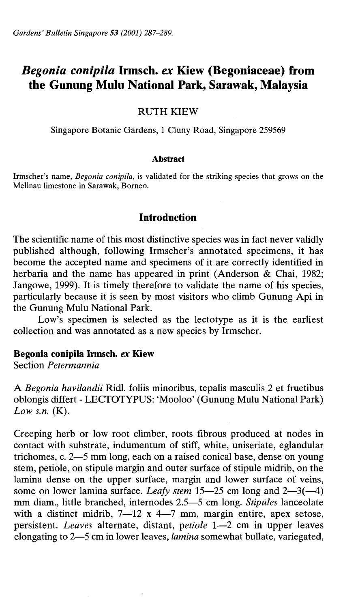# *Begonia conipila* **Irmsch.** *ex* **Kiew (Begoniaceae) from the Gunung Mulu National Park, Sarawak, Malaysia**

#### RUTH KIEW

Singapore Botanic Gardens, 1 Cluny Road, Singapore 259569

#### **Abstract**

Irmscher's name, *Begonia conipila,* is validated for the striking species that grows on the Melinau limestone in Sarawak, Borneo.

## **Introduction**

The scientific name of this most distinctive species was in fact never validly published although, following Irmscher's annotated specimens, it has become the accepted name and specimens of it are correctly identified in herbaria and the name has appeared in print (Anderson & Chai, 1982; Jangowe, 1999). It is timely therefore to validate the name of his species, particularly because it is seen by most visitors who climb Gunung Api in the Gunung Mulu National Park.

Low's specimen is selected as the lectotype as it is the earliest collection and was annotated as a new species by Irmscher.

# **Begonia conipila Irmsch.** *ex* **Kiew**

Section *Petermannia* 

A *Begonia havilandii* Ridl. foliis minoribus, tepalis masculis 2 et fructibus oblongis differt - LECTOTYPUS: 'Mooloo' (Gunung Mulu National Park) *Low s.n.* (K).

Creeping herb or low root climber, roots fibrous produced at nodes in contact with substrate, indumentum of stiff, white, uniseriate, eglandular trichomes, c. 2-5 mm long, each on a raised conical base, dense on young stem, petiole, on stipule margin and outer surface of stipule midrib, on the lamina dense on the upper surface, margin and lower surface of veins, some on lower lamina surface. *Leafy stem* 15-25 cm long and 2-3(-4) mm diam., little branched, internodes 2.5-5 cm long. *Stipules* lanceolate with a distinct midrib,  $7-12$  x  $4-7$  mm, margin entire, apex setose, persistent. *Leaves* alternate, distant, *petiole* 1-2 cm in upper leaves elongating to 2-5 cm in lower leaves, *lamina* somewhat bullate, variegated,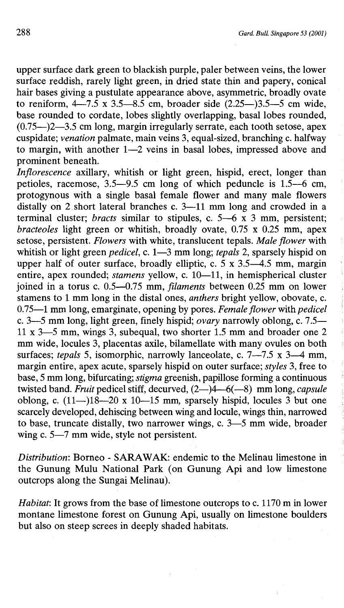upper surface dark green to blackish purple, paler between veins, the lower surface reddish, rarely light green, in dried state thin and papery, conical hair bases giving a pustulate appearance above, asymmetric, broadly ovate to reniform,  $4-7.5 \times 3.5-8.5$  cm, broader side  $(2.25-)3.5-5$  cm wide, base rounded to cordate, lobes slightly overlapping, basal lobes rounded,  $(0.75-2)$ 2-3.5 cm long, margin irregularly serrate, each tooth setose, apex cuspidate; *venation* palmate, main veins 3, equal-sized, branching c. halfway to margin, with another 1-2 veins in basal lobes, impressed above and prominent beneath.

*Inflorescence* axillary, whitish or light green, hispid, erect, longer than petioles, racemose, 3.5-9.5 cm long of which peduncle is 1.5-6 cm, protogynous with a single basal female flower and many male flowers distally on 2 short lateral branches c. 3-11 mm long and crowded in a terminal cluster; *bracts* similar to stipules, c. 5-6 x 3 mm, persistent; *bracteoles* light green or whitish, broadly ovate, 0.75 x 0.25 mm, apex setose, persistent. *Flowers* with white, translucent tepals. *Male flower* with whitish or light green *pedicel*, c. 1—3 mm long; *tepals* 2, sparsely hispid on upper half of outer surface, broadly elliptic, c.  $5 \times 3.5 - 4.5$  mm, margin entire, apex rounded; *stamens* yellow, c. 10-11, in hemispherical cluster joined in a torus c. 0.5-0.75 mm, *filaments* between 0.25 mm on lower stamens to 1 mm long in the distal ones, *anthers* bright yellow, obovate, c. 0.75-1 mm long, emarginate, opening by pores. *Female flower* with *pedicel*  c. 3-5 mm long, light green, finely hispid; *ovary* narrowly oblong, c. 7.5- 11 x 3-5 mm, wings 3, subequal, two shorter 1.5 mm and broader one 2 mm wide, locules 3, placentas axile, bilamellate with many ovules on both surfaces; *tepals* 5, isomorphic, narrowly lanceolate, c.  $7 - 7.5 \times 3 - 4 \text{ mm}$ , margin entire, apex acute, sparsely hispid on outer surface; *styles* 3, free to base, 5 mm long, bifurcating; *stigma* greenish, papillose forming a continuous twisted band. *Fruit* pedicel stiff, decurved,  $(2-)$ 4-6(-8) mm long, *capsule* oblong, c.  $(11-)18-20 \times 10-15$  mm, sparsely hispid, locules 3 but one scarcely developed, dehiscing between wing and locule, wings thin, narrowed to base, truncate distally, two narrower wings, c.  $3-5$  mm wide, broader wing c. 5-7 mm wide, style not persistent.

*Distribution:* Borneo - SARAWAK: endemic to the Melinau limestone in the Gunung Mulu National Park (on Gunung Api and low limestone outcrops along the Sungai Melinau).

*Habitat:* It grows from the base of limestone outcrops to c. 1170 m in lower montane limestone forest on Gunung Api, usually on limestone boulders but also on steep screes in deeply shaded habitats.